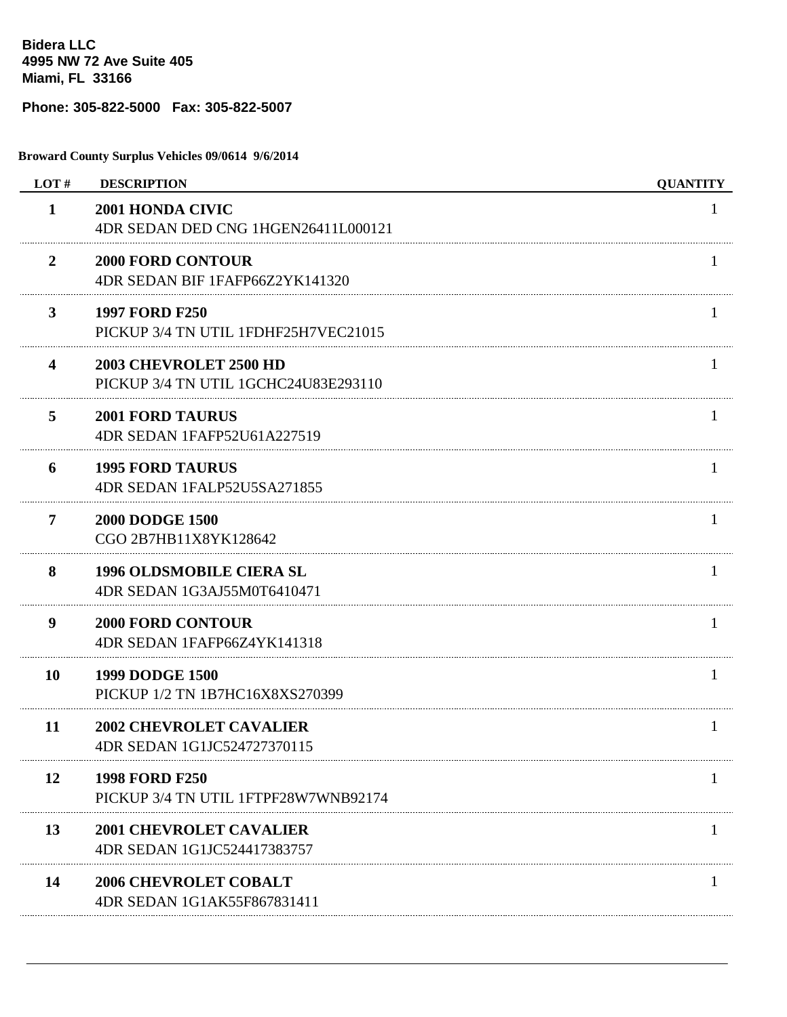**Bidera LLC 4995 NW 72 Ave Suite 405 Miami, FL 33166**

## **Phone: 305-822-5000 Fax: 305-822-5007**

**Broward County Surplus Vehicles 09/0614 9/6/2014**

| LOT#                    | <b>DESCRIPTION</b>                                             | <b>QUANTITY</b> |
|-------------------------|----------------------------------------------------------------|-----------------|
| $\mathbf{1}$            | 2001 HONDA CIVIC<br>4DR SEDAN DED CNG 1HGEN26411L000121        | 1               |
| 2                       | <b>2000 FORD CONTOUR</b><br>4DR SEDAN BIF 1FAFP66Z2YK141320    |                 |
| 3                       | <b>1997 FORD F250</b><br>PICKUP 3/4 TN UTIL 1FDHF25H7VEC21015  |                 |
| $\overline{\mathbf{4}}$ | 2003 CHEVROLET 2500 HD<br>PICKUP 3/4 TN UTIL 1GCHC24U83E293110 |                 |
| 5                       | <b>2001 FORD TAURUS</b><br>4DR SEDAN 1FAFP52U61A227519         |                 |
| 6                       | <b>1995 FORD TAURUS</b><br>4DR SEDAN 1FALP52U5SA271855         |                 |
| 7                       | <b>2000 DODGE 1500</b><br>CGO 2B7HB11X8YK128642                |                 |
| 8                       | <b>1996 OLDSMOBILE CIERA SL</b><br>4DR SEDAN 1G3AJ55M0T6410471 | 1               |
| 9                       | <b>2000 FORD CONTOUR</b><br>4DR SEDAN 1FAFP66Z4YK141318        |                 |
| 10                      | <b>1999 DODGE 1500</b><br>PICKUP 1/2 TN 1B7HC16X8XS270399      | $\mathbf{I}$    |
| 11                      | <b>2002 CHEVROLET CAVALIER</b><br>4DR SEDAN 1G1JC524727370115  | $\mathbf{I}$    |
| 12                      | 1998 FORD F250<br>PICKUP 3/4 TN UTIL 1FTPF28W7WNB92174         |                 |
| 13                      | <b>2001 CHEVROLET CAVALIER</b><br>4DR SEDAN 1G1JC524417383757  |                 |
| 14                      | <b>2006 CHEVROLET COBALT</b><br>4DR SEDAN 1G1AK55F867831411    |                 |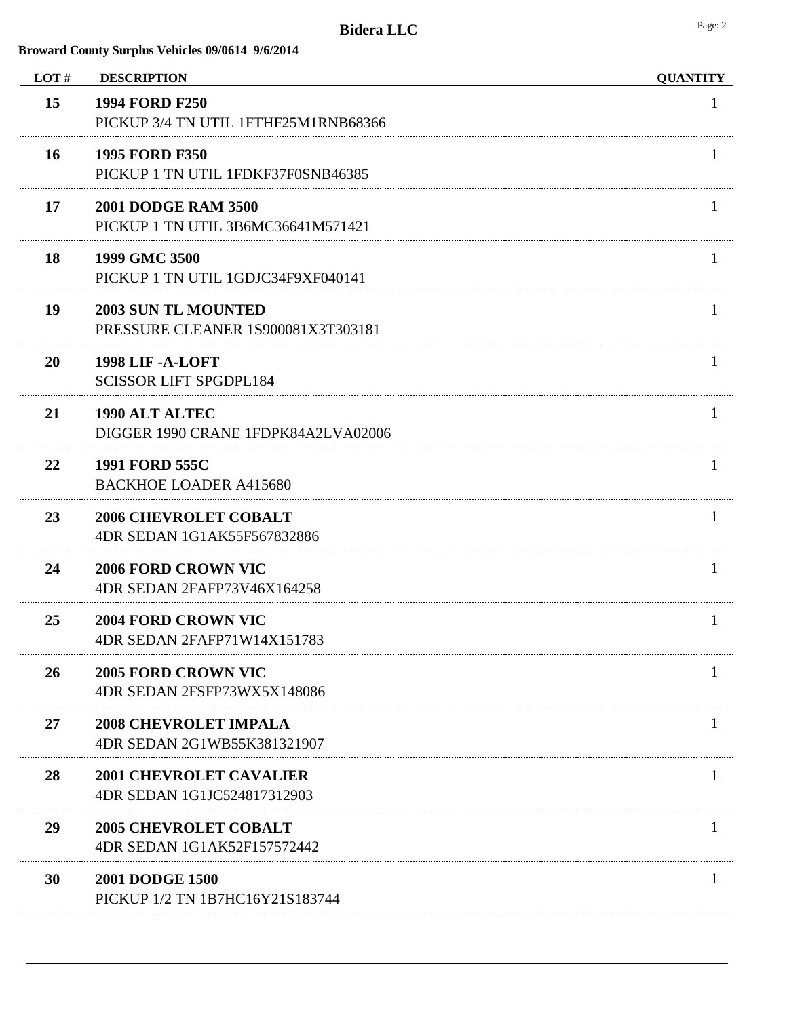| LOT# | <b>DESCRIPTION</b>                                               | <b>QUANTITY</b> |
|------|------------------------------------------------------------------|-----------------|
| 15   | <b>1994 FORD F250</b><br>PICKUP 3/4 TN UTIL 1FTHF25M1RNB68366    |                 |
| 16   | <b>1995 FORD F350</b><br>PICKUP 1 TN UTIL 1FDKF37F0SNB46385      |                 |
| 17   | <b>2001 DODGE RAM 3500</b><br>PICKUP 1 TN UTIL 3B6MC36641M571421 |                 |
| 18   | 1999 GMC 3500<br>PICKUP 1 TN UTIL 1GDJC34F9XF040141              |                 |
| 19   | <b>2003 SUN TL MOUNTED</b><br>PRESSURE CLEANER 1S900081X3T303181 |                 |
| 20   | <b>1998 LIF - A-LOFT</b><br><b>SCISSOR LIFT SPGDPL184</b>        |                 |
| 21   | 1990 ALT ALTEC<br>DIGGER 1990 CRANE 1FDPK84A2LVA02006            |                 |
| 22   | <b>1991 FORD 555C</b><br><b>BACKHOE LOADER A415680</b>           |                 |
| 23   | <b>2006 CHEVROLET COBALT</b><br>4DR SEDAN 1G1AK55F567832886      | 1               |
| 24   | <b>2006 FORD CROWN VIC</b><br>4DR SEDAN 2FAFP73V46X164258        |                 |
| 25   | <b>2004 FORD CROWN VIC</b><br>4DR SEDAN 2FAFP71W14X151783        |                 |
| 26   | <b>2005 FORD CROWN VIC</b><br>4DR SEDAN 2FSFP73WX5X148086        |                 |
| 27   | <b>2008 CHEVROLET IMPALA</b><br>4DR SEDAN 2G1WB55K381321907      |                 |
| 28   | <b>2001 CHEVROLET CAVALIER</b><br>4DR SEDAN 1G1JC524817312903    |                 |
| 29   | <b>2005 CHEVROLET COBALT</b><br>4DR SEDAN 1G1AK52F157572442      |                 |
| 30   | <b>2001 DODGE 1500</b><br>PICKUP 1/2 TN 1B7HC16Y21S183744        |                 |
|      |                                                                  |                 |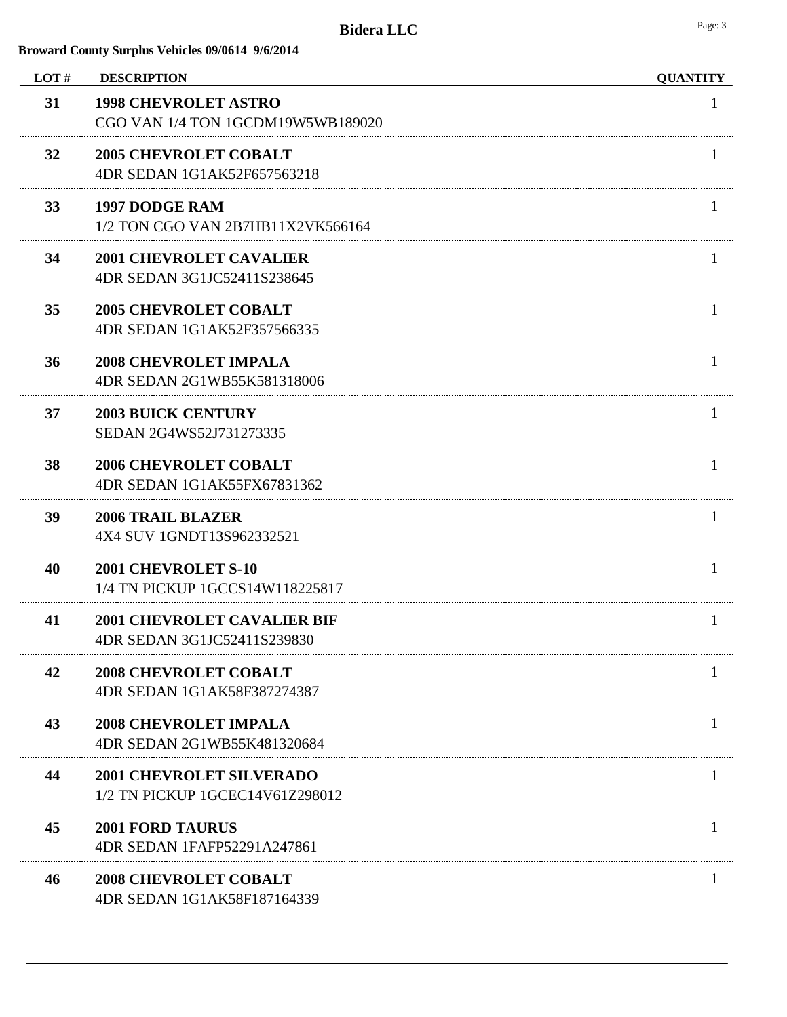| LOT# | <b>DESCRIPTION</b>                                                 | <b>QUANTITY</b> |
|------|--------------------------------------------------------------------|-----------------|
| 31   | <b>1998 CHEVROLET ASTRO</b><br>CGO VAN 1/4 TON 1GCDM19W5WB189020   | 1               |
| 32   | <b>2005 CHEVROLET COBALT</b><br>4DR SEDAN 1G1AK52F657563218        |                 |
| 33   | <b>1997 DODGE RAM</b><br>1/2 TON CGO VAN 2B7HB11X2VK566164         | 1               |
| 34   | <b>2001 CHEVROLET CAVALIER</b><br>4DR SEDAN 3G1JC52411S238645      | T               |
| 35   | <b>2005 CHEVROLET COBALT</b><br>4DR SEDAN 1G1AK52F357566335        | $\mathbf{I}$    |
| 36   | <b>2008 CHEVROLET IMPALA</b><br>4DR SEDAN 2G1WB55K581318006        | L               |
| 37   | <b>2003 BUICK CENTURY</b><br>SEDAN 2G4WS52J731273335               | $\mathbf{I}$    |
| 38   | <b>2006 CHEVROLET COBALT</b><br>4DR SEDAN 1G1AK55FX67831362        | 1               |
| 39   | <b>2006 TRAIL BLAZER</b><br>4X4 SUV 1GNDT13S962332521              | 1               |
| 40   | 2001 CHEVROLET S-10<br>1/4 TN PICKUP 1GCCS14W118225817             | $\mathbf{I}$    |
| 41   | <b>2001 CHEVROLET CAVALIER BIF</b><br>4DR SEDAN 3G1JC52411S239830  | 1               |
| 42   | <b>2008 CHEVROLET COBALT</b><br>4DR SEDAN 1G1AK58F387274387        |                 |
| 43   | <b>2008 CHEVROLET IMPALA</b><br>4DR SEDAN 2G1WB55K481320684        |                 |
| 44   | <b>2001 CHEVROLET SILVERADO</b><br>1/2 TN PICKUP 1GCEC14V61Z298012 |                 |
| 45   | <b>2001 FORD TAURUS</b><br>4DR SEDAN 1FAFP52291A247861             |                 |
| 46   | <b>2008 CHEVROLET COBALT</b><br>4DR SEDAN 1G1AK58F187164339        |                 |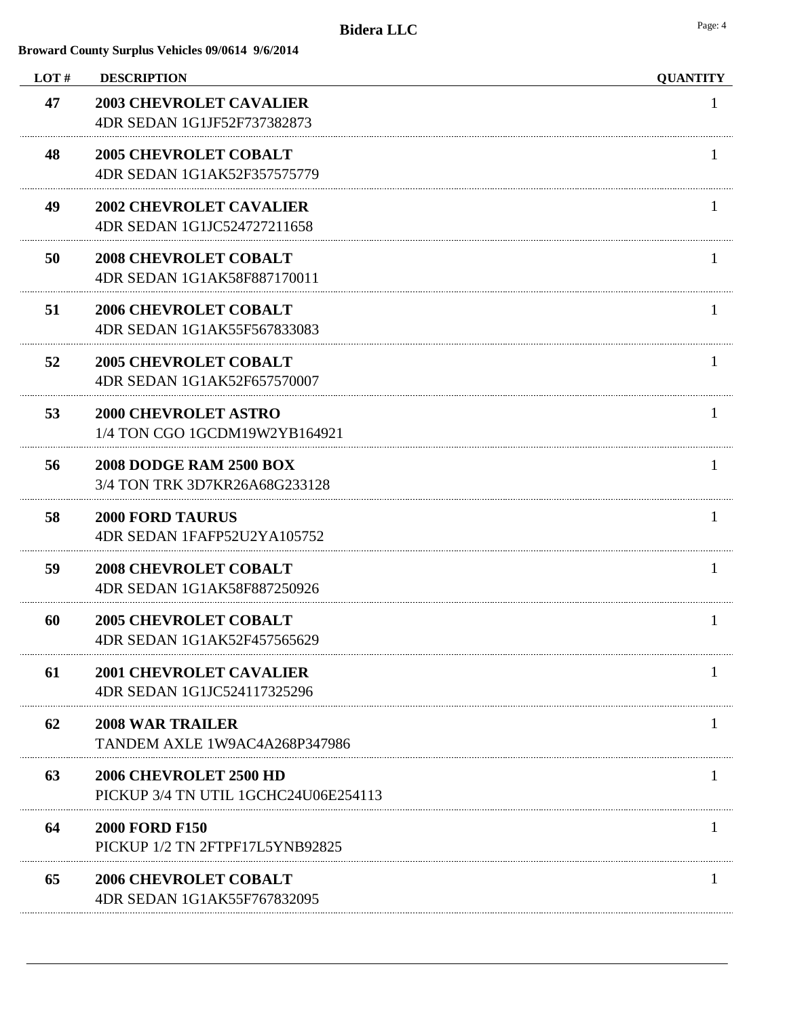| LOT# | <b>DESCRIPTION</b>                                                    | <b>QUANTITY</b> |
|------|-----------------------------------------------------------------------|-----------------|
| 47   | <b>2003 CHEVROLET CAVALIER</b><br>4DR SEDAN 1G1JF52F737382873         | 1               |
| 48   | <b>2005 CHEVROLET COBALT</b><br>4DR SEDAN 1G1AK52F357575779           |                 |
| 49   | <b>2002 CHEVROLET CAVALIER</b><br>4DR SEDAN 1G1JC524727211658         | $\mathbf{I}$    |
| 50   | <b>2008 CHEVROLET COBALT</b><br>4DR SEDAN 1G1AK58F887170011           | 1               |
| 51   | <b>2006 CHEVROLET COBALT</b><br>4DR SEDAN 1G1AK55F567833083           |                 |
| 52   | <b>2005 CHEVROLET COBALT</b><br>4DR SEDAN 1G1AK52F657570007           | 1               |
| 53   | <b>2000 CHEVROLET ASTRO</b><br>1/4 TON CGO 1GCDM19W2YB164921          | 1               |
| 56   | <b>2008 DODGE RAM 2500 BOX</b><br>3/4 TON TRK 3D7KR26A68G233128       | Ι.              |
| 58   | <b>2000 FORD TAURUS</b><br>4DR SEDAN 1FAFP52U2YA105752                | 1               |
| 59   | <b>2008 CHEVROLET COBALT</b><br>4DR SEDAN 1G1AK58F887250926           | $\mathbf{I}$    |
| 60   | <b>2005 CHEVROLET COBALT</b><br>4DR SEDAN 1G1AK52F457565629           | 1               |
| 61   | <b>2001 CHEVROLET CAVALIER</b><br>4DR SEDAN 1G1JC524117325296         |                 |
| 62   | <b>2008 WAR TRAILER</b><br>TANDEM AXLE 1W9AC4A268P347986              |                 |
| 63   | <b>2006 CHEVROLET 2500 HD</b><br>PICKUP 3/4 TN UTIL 1GCHC24U06E254113 |                 |
| 64   | <b>2000 FORD F150</b><br>PICKUP 1/2 TN 2FTPF17L5YNB92825              |                 |
| 65   | <b>2006 CHEVROLET COBALT</b><br>4DR SEDAN 1G1AK55F767832095           |                 |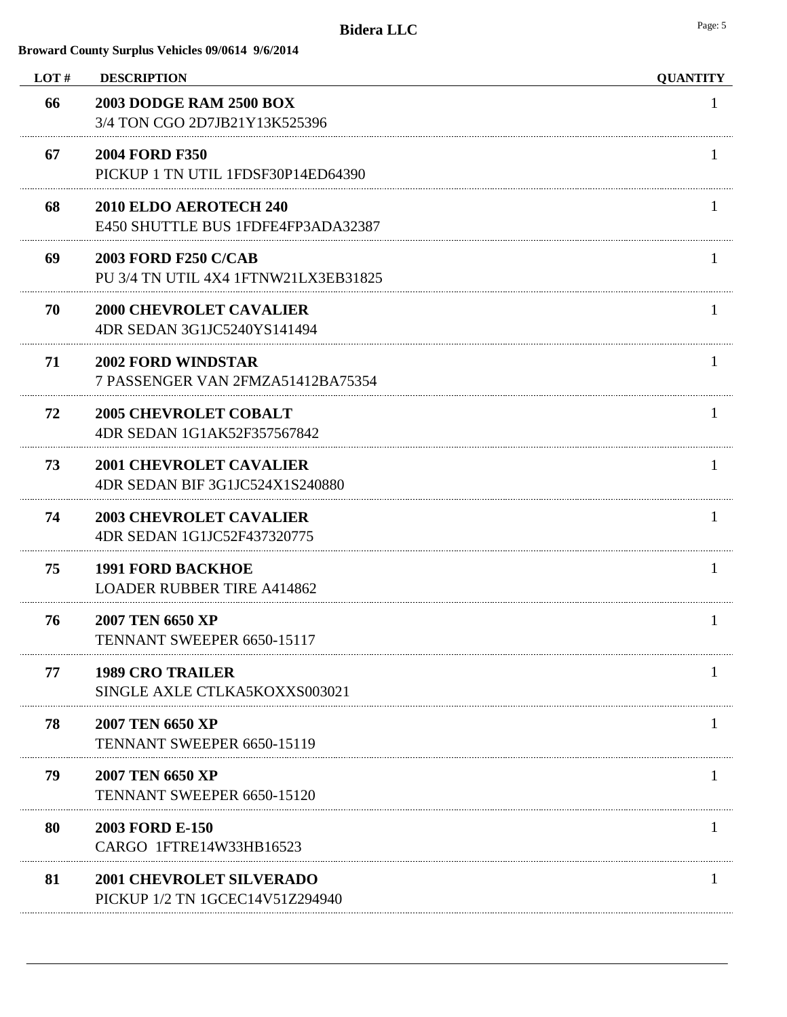| LOT# | <b>DESCRIPTION</b>                                                  | <b>QUANTITY</b> |
|------|---------------------------------------------------------------------|-----------------|
| 66   | <b>2003 DODGE RAM 2500 BOX</b><br>3/4 TON CGO 2D7JB21Y13K525396     | 1               |
| 67   | <b>2004 FORD F350</b><br>PICKUP 1 TN UTIL 1FDSF30P14ED64390         |                 |
| 68   | 2010 ELDO AEROTECH 240<br>E450 SHUTTLE BUS 1FDFE4FP3ADA32387        | $\mathbf{I}$    |
| 69   | <b>2003 FORD F250 C/CAB</b><br>PU 3/4 TN UTIL 4X4 1FTNW21LX3EB31825 |                 |
| 70   | <b>2000 CHEVROLET CAVALIER</b><br>4DR SEDAN 3G1JC5240YS141494       |                 |
| 71   | <b>2002 FORD WINDSTAR</b><br>7 PASSENGER VAN 2FMZA51412BA75354      | л.              |
| 72   | <b>2005 CHEVROLET COBALT</b><br>4DR SEDAN 1G1AK52F357567842         |                 |
| 73   | <b>2001 CHEVROLET CAVALIER</b><br>4DR SEDAN BIF 3G1JC524X1S240880   | 1               |
| 74   | <b>2003 CHEVROLET CAVALIER</b><br>4DR SEDAN 1G1JC52F437320775       | H.              |
| 75   | <b>1991 FORD BACKHOE</b><br><b>LOADER RUBBER TIRE A414862</b>       | $\mathbf{I}$    |
| 76   | 2007 TEN 6650 XP<br>TENNANT SWEEPER 6650-15117                      | 1               |
| 77   | <b>1989 CRO TRAILER</b><br>SINGLE AXLE CTLKA5KOXXS003021            |                 |
| 78   | 2007 TEN 6650 XP<br>TENNANT SWEEPER 6650-15119                      |                 |
| 79   | 2007 TEN 6650 XP<br>TENNANT SWEEPER 6650-15120                      |                 |
| 80   | 2003 FORD E-150<br>CARGO 1FTRE14W33HB16523                          |                 |
| 81   | <b>2001 CHEVROLET SILVERADO</b><br>PICKUP 1/2 TN 1GCEC14V51Z294940  |                 |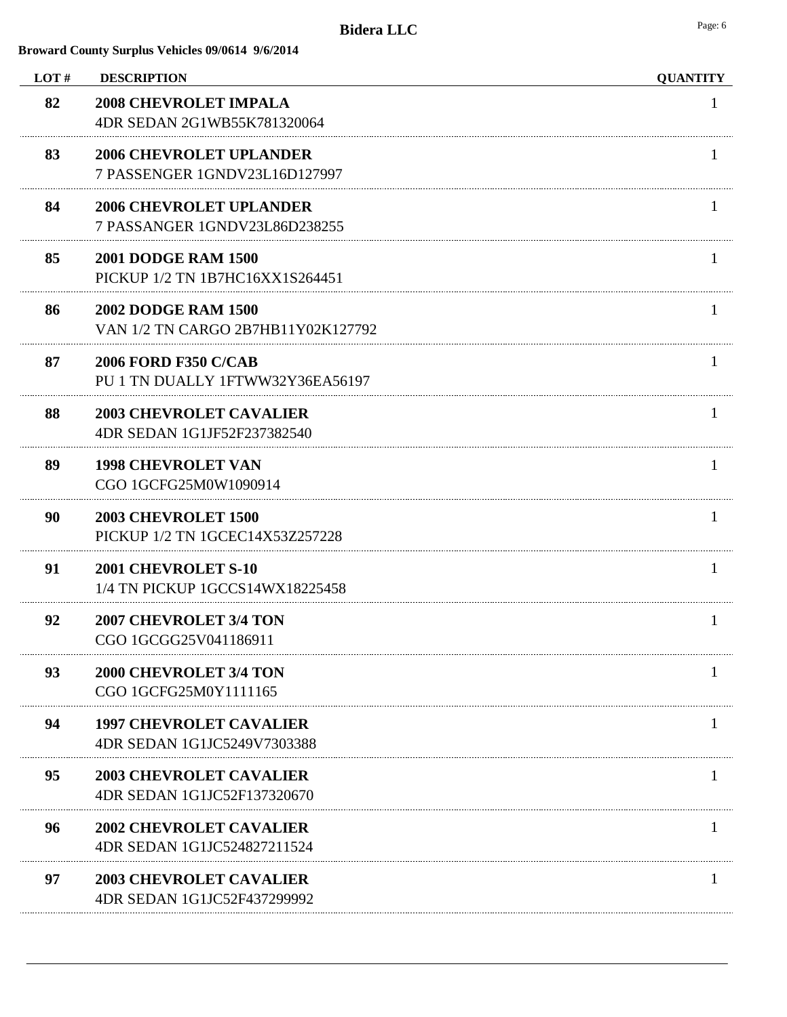| LOT# | <b>DESCRIPTION</b>                                               | <b>QUANTITY</b> |
|------|------------------------------------------------------------------|-----------------|
| 82   | <b>2008 CHEVROLET IMPALA</b><br>4DR SEDAN 2G1WB55K781320064      | 1               |
| 83   | <b>2006 CHEVROLET UPLANDER</b><br>7 PASSENGER 1GNDV23L16D127997  |                 |
| 84   | <b>2006 CHEVROLET UPLANDER</b><br>7 PASSANGER 1GNDV23L86D238255  |                 |
| 85   | <b>2001 DODGE RAM 1500</b><br>PICKUP 1/2 TN 1B7HC16XX1S264451    |                 |
| 86   | <b>2002 DODGE RAM 1500</b><br>VAN 1/2 TN CARGO 2B7HB11Y02K127792 |                 |
| 87   | <b>2006 FORD F350 C/CAB</b><br>PU 1 TN DUALLY 1FTWW32Y36EA56197  | $\mathbf{I}$    |
| 88   | <b>2003 CHEVROLET CAVALIER</b><br>4DR SEDAN 1G1JF52F237382540    |                 |
| 89   | <b>1998 CHEVROLET VAN</b><br>CGO 1GCFG25M0W1090914               | $\mathbf{I}$    |
| 90   | <b>2003 CHEVROLET 1500</b><br>PICKUP 1/2 TN 1GCEC14X53Z257228    | H.              |
| 91   | 2001 CHEVROLET S-10<br>1/4 TN PICKUP 1GCCS14WX18225458           |                 |
| 92   | <b>2007 CHEVROLET 3/4 TON</b><br>CGO 1GCGG25V041186911           | $\mathbf{I}$    |
| 93   | <b>2000 CHEVROLET 3/4 TON</b><br>CGO 1GCFG25M0Y1111165           |                 |
| 94   | <b>1997 CHEVROLET CAVALIER</b><br>4DR SEDAN 1G1JC5249V7303388    |                 |
| 95   | <b>2003 CHEVROLET CAVALIER</b><br>4DR SEDAN 1G1JC52F137320670    |                 |
| 96   | <b>2002 CHEVROLET CAVALIER</b><br>4DR SEDAN 1G1JC524827211524    |                 |
| 97   | <b>2003 CHEVROLET CAVALIER</b><br>4DR SEDAN 1G1JC52F437299992    |                 |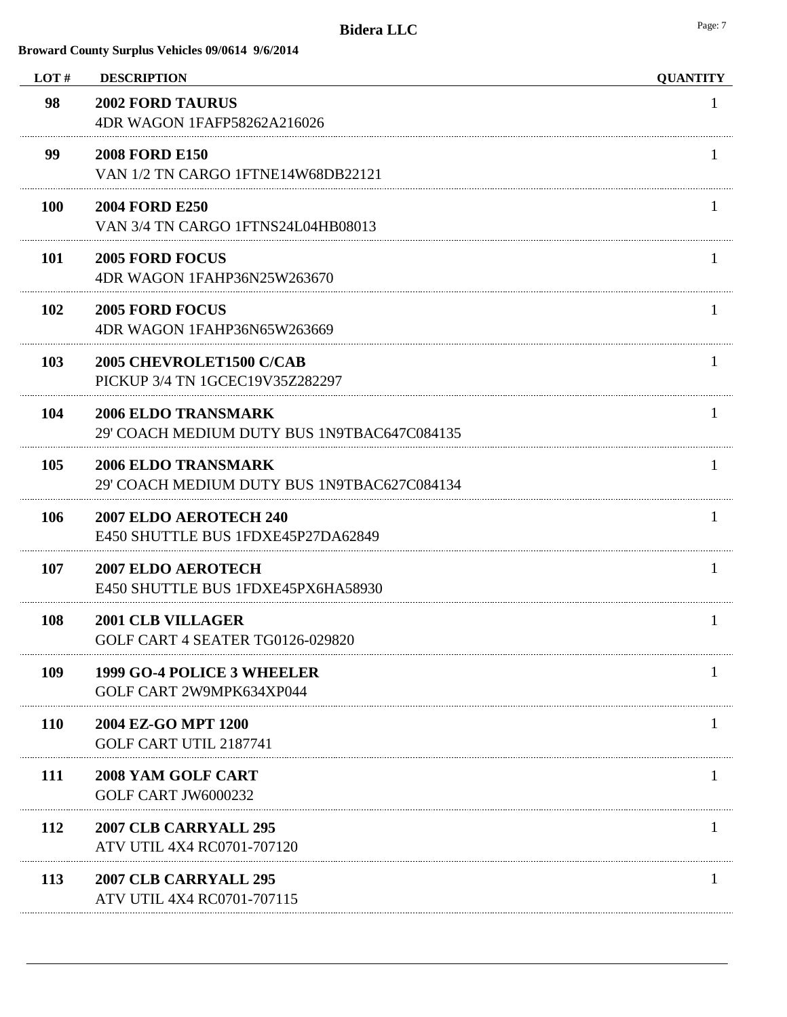| LOT#       | <b>DESCRIPTION</b>                                                        | <b>QUANTITY</b> |
|------------|---------------------------------------------------------------------------|-----------------|
| 98         | <b>2002 FORD TAURUS</b><br>4DR WAGON 1FAFP58262A216026                    | T               |
| 99         | <b>2008 FORD E150</b><br>VAN 1/2 TN CARGO 1FTNE14W68DB22121               |                 |
| <b>100</b> | <b>2004 FORD E250</b><br>VAN 3/4 TN CARGO 1FTNS24L04HB08013               |                 |
| <b>101</b> | <b>2005 FORD FOCUS</b><br>4DR WAGON 1FAHP36N25W263670                     |                 |
| 102        | <b>2005 FORD FOCUS</b><br>4DR WAGON 1FAHP36N65W263669                     |                 |
| 103        | 2005 CHEVROLET1500 C/CAB<br>PICKUP 3/4 TN 1GCEC19V35Z282297               | T               |
| 104        | <b>2006 ELDO TRANSMARK</b><br>29' COACH MEDIUM DUTY BUS 1N9TBAC647C084135 |                 |
| 105        | <b>2006 ELDO TRANSMARK</b><br>29' COACH MEDIUM DUTY BUS 1N9TBAC627C084134 |                 |
| 106        | 2007 ELDO AEROTECH 240<br>E450 SHUTTLE BUS 1FDXE45P27DA62849              | T               |
| 107        | <b>2007 ELDO AEROTECH</b><br>E450 SHUTTLE BUS 1FDXE45PX6HA58930           | I.              |
| 108        | <b>2001 CLB VILLAGER</b><br>GOLF CART 4 SEATER TG0126-029820              | 1               |
| 109        | 1999 GO-4 POLICE 3 WHEELER<br>GOLF CART 2W9MPK634XP044                    |                 |
| <b>110</b> | 2004 EZ-GO MPT 1200<br>GOLF CART UTIL 2187741                             |                 |
| 111        | <b>2008 YAM GOLF CART</b><br><b>GOLF CART JW6000232</b>                   |                 |
| 112        | 2007 CLB CARRYALL 295<br>ATV UTIL 4X4 RC0701-707120                       |                 |
| 113        | 2007 CLB CARRYALL 295<br>ATV UTIL 4X4 RC0701-707115                       |                 |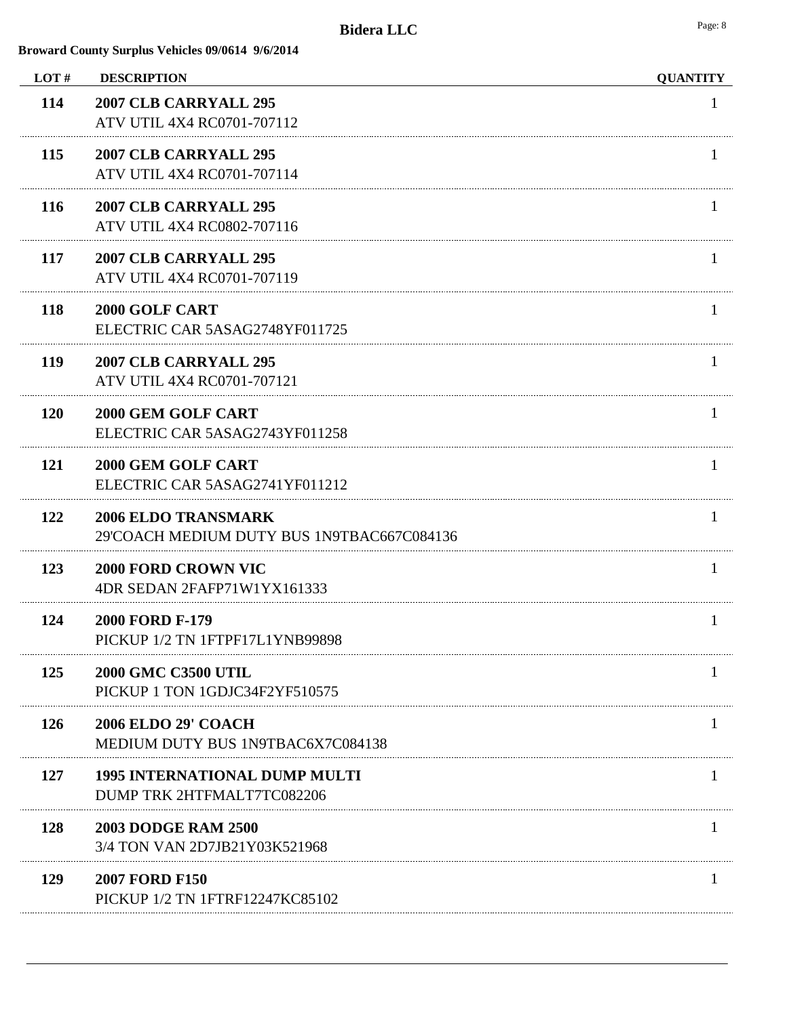| LOT#       | <b>DESCRIPTION</b>                                                       | <b>QUANTITY</b> |
|------------|--------------------------------------------------------------------------|-----------------|
| 114        | 2007 CLB CARRYALL 295<br>ATV UTIL 4X4 RC0701-707112                      | 1               |
| 115        | 2007 CLB CARRYALL 295<br>ATV UTIL 4X4 RC0701-707114                      |                 |
| <b>116</b> | 2007 CLB CARRYALL 295<br>ATV UTIL 4X4 RC0802-707116                      | $\mathbf{I}$    |
| 117        | 2007 CLB CARRYALL 295<br>ATV UTIL 4X4 RC0701-707119                      |                 |
| 118        | 2000 GOLF CART<br>ELECTRIC CAR 5ASAG2748YF011725                         | $\mathbf{I}$    |
| <b>119</b> | 2007 CLB CARRYALL 295<br>ATV UTIL 4X4 RC0701-707121                      | Т.              |
| <b>120</b> | 2000 GEM GOLF CART<br>ELECTRIC CAR 5ASAG2743YF011258                     | $\mathbf{I}$    |
| 121        | 2000 GEM GOLF CART<br>ELECTRIC CAR 5ASAG2741YF011212                     | $\mathbf{I}$    |
| 122        | <b>2006 ELDO TRANSMARK</b><br>29'COACH MEDIUM DUTY BUS 1N9TBAC667C084136 | -1              |
| 123        | <b>2000 FORD CROWN VIC</b><br>4DR SEDAN 2FAFP71W1YX161333                | $\bf{l}$        |
| 124        | <b>2000 FORD F-179</b><br>PICKUP 1/2 TN 1FTPF17L1YNB99898                | Ι.              |
| 125        | <b>2000 GMC C3500 UTIL</b><br>PICKUP 1 TON 1GDJC34F2YF510575             |                 |
| 126        | <b>2006 ELDO 29' COACH</b><br>MEDIUM DUTY BUS 1N9TBAC6X7C084138          |                 |
| 127        | <b>1995 INTERNATIONAL DUMP MULTI</b><br>DUMP TRK 2HTFMALT7TC082206       |                 |
| 128        | <b>2003 DODGE RAM 2500</b><br>3/4 TON VAN 2D7JB21Y03K521968              |                 |
| 129        | <b>2007 FORD F150</b><br>PICKUP 1/2 TN 1FTRF12247KC85102                 |                 |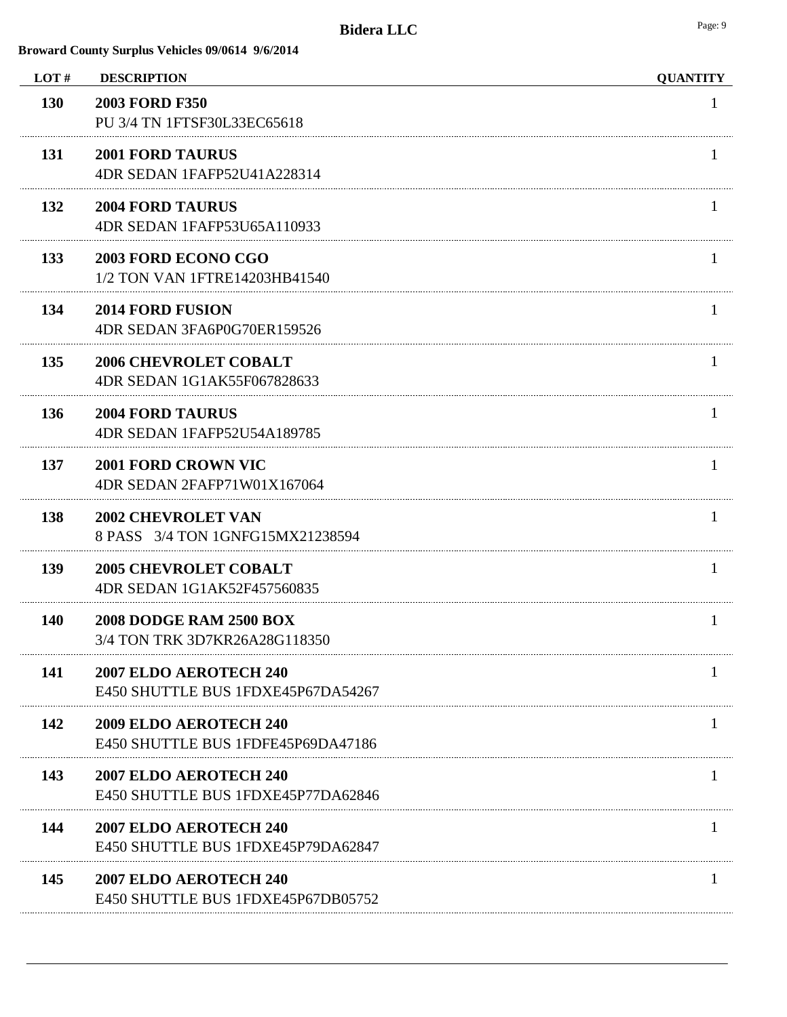| LOT#       | <b>DESCRIPTION</b>                                              | <b>QUANTITY</b> |
|------------|-----------------------------------------------------------------|-----------------|
| 130        | <b>2003 FORD F350</b><br>PU 3/4 TN 1FTSF30L33EC65618            | 1               |
| 131        | <b>2001 FORD TAURUS</b><br>4DR SEDAN 1FAFP52U41A228314          |                 |
| 132        | <b>2004 FORD TAURUS</b><br>4DR SEDAN 1FAFP53U65A110933          |                 |
| 133        | 2003 FORD ECONO CGO<br>1/2 TON VAN 1FTRE14203HB41540            |                 |
| 134        | <b>2014 FORD FUSION</b><br>4DR SEDAN 3FA6P0G70ER159526          |                 |
| 135        | <b>2006 CHEVROLET COBALT</b><br>4DR SEDAN 1G1AK55F067828633     | $\mathbf{I}$    |
| 136        | <b>2004 FORD TAURUS</b><br>4DR SEDAN 1FAFP52U54A189785          |                 |
| 137        | <b>2001 FORD CROWN VIC</b><br>4DR SEDAN 2FAFP71W01X167064       |                 |
| 138        | <b>2002 CHEVROLET VAN</b><br>8 PASS 3/4 TON 1GNFG15MX21238594   |                 |
| 139        | <b>2005 CHEVROLET COBALT</b><br>4DR SEDAN 1G1AK52F457560835     |                 |
| <b>140</b> | <b>2008 DODGE RAM 2500 BOX</b><br>3/4 TON TRK 3D7KR26A28G118350 | 1               |
| 141        | 2007 ELDO AEROTECH 240<br>E450 SHUTTLE BUS 1FDXE45P67DA54267    |                 |
| 142        | 2009 ELDO AEROTECH 240<br>E450 SHUTTLE BUS 1FDFE45P69DA47186    |                 |
| 143        | 2007 ELDO AEROTECH 240<br>E450 SHUTTLE BUS 1FDXE45P77DA62846    |                 |
| 144        | 2007 ELDO AEROTECH 240<br>E450 SHUTTLE BUS 1FDXE45P79DA62847    |                 |
| 145        | 2007 ELDO AEROTECH 240<br>E450 SHUTTLE BUS 1FDXE45P67DB05752    |                 |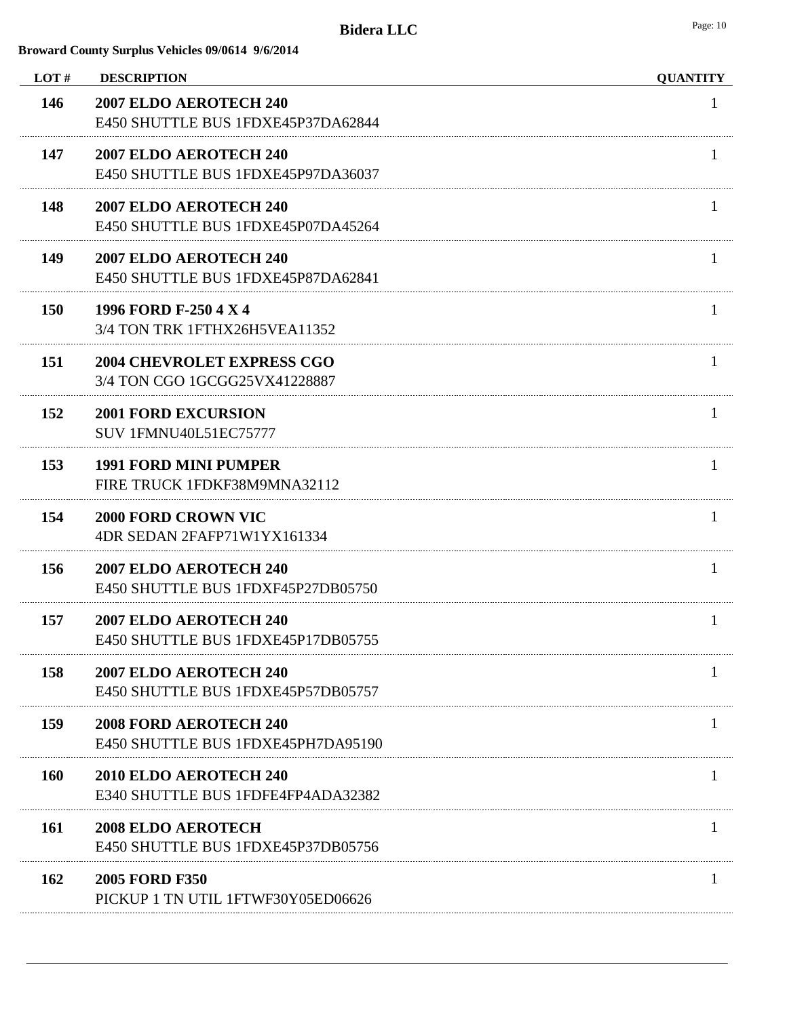| LOT#       | <b>DESCRIPTION</b>                                                 | <b>QUANTITY</b> |
|------------|--------------------------------------------------------------------|-----------------|
| 146        | 2007 ELDO AEROTECH 240<br>E450 SHUTTLE BUS 1FDXE45P37DA62844       | 1               |
| 147        | 2007 ELDO AEROTECH 240<br>E450 SHUTTLE BUS 1FDXE45P97DA36037       |                 |
| 148        | 2007 ELDO AEROTECH 240<br>E450 SHUTTLE BUS 1FDXE45P07DA45264       |                 |
| 149        | 2007 ELDO AEROTECH 240<br>E450 SHUTTLE BUS 1FDXE45P87DA62841       |                 |
| <b>150</b> | 1996 FORD F-250 4 X 4<br>3/4 TON TRK 1FTHX26H5VEA11352             |                 |
| 151        | <b>2004 CHEVROLET EXPRESS CGO</b><br>3/4 TON CGO 1GCGG25VX41228887 |                 |
| 152        | <b>2001 FORD EXCURSION</b><br>SUV 1FMNU40L51EC75777                |                 |
| 153        | <b>1991 FORD MINI PUMPER</b><br>FIRE TRUCK 1FDKF38M9MNA32112       | $\mathbf{I}$    |
| 154        | <b>2000 FORD CROWN VIC</b><br>4DR SEDAN 2FAFP71W1YX161334          |                 |
| 156        | 2007 ELDO AEROTECH 240<br>E450 SHUTTLE BUS 1FDXF45P27DB05750       |                 |
| 157        | 2007 ELDO AEROTECH 240<br>E450 SHUTTLE BUS 1FDXE45P17DB05755       | T.              |
| 158        | 2007 ELDO AEROTECH 240<br>E450 SHUTTLE BUS 1FDXE45P57DB05757       |                 |
| 159        | 2008 FORD AEROTECH 240<br>E450 SHUTTLE BUS 1FDXE45PH7DA95190       |                 |
| <b>160</b> | 2010 ELDO AEROTECH 240<br>E340 SHUTTLE BUS 1FDFE4FP4ADA32382       |                 |
| <b>161</b> | <b>2008 ELDO AEROTECH</b><br>E450 SHUTTLE BUS 1FDXE45P37DB05756    |                 |
| 162        | <b>2005 FORD F350</b><br>PICKUP 1 TN UTIL 1FTWF30Y05ED06626        |                 |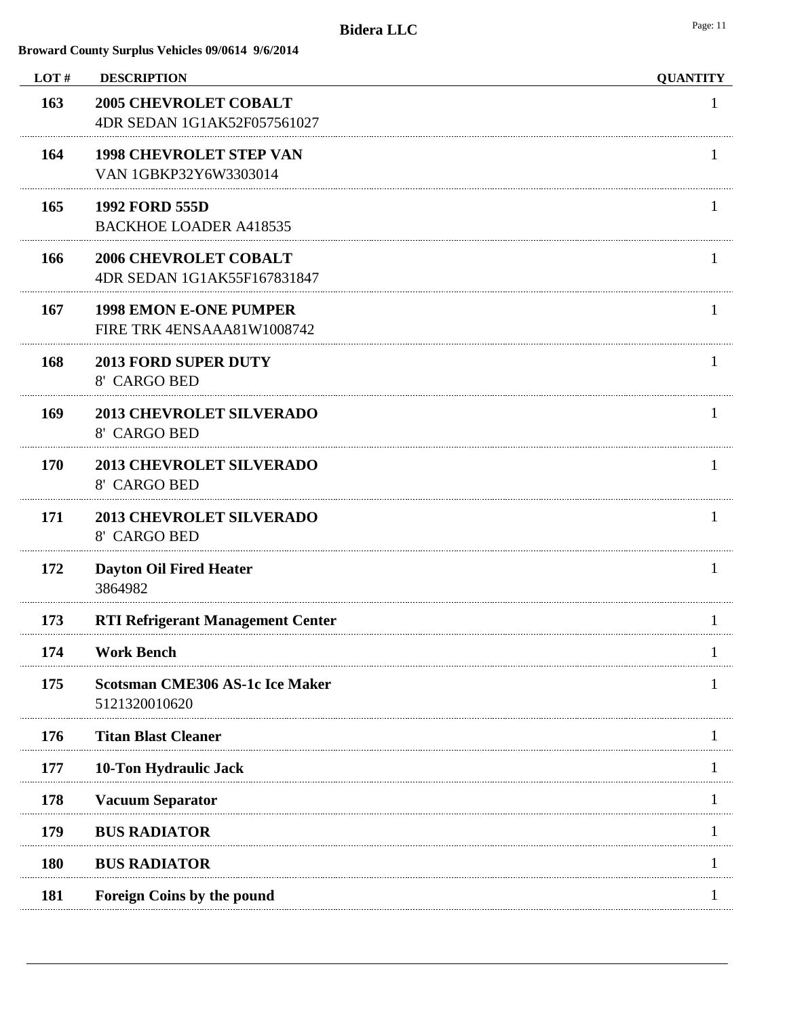| LOT#       | <b>DESCRIPTION</b>                                          | <b>QUANTITY</b> |
|------------|-------------------------------------------------------------|-----------------|
| 163        | <b>2005 CHEVROLET COBALT</b><br>4DR SEDAN 1G1AK52F057561027 | 1               |
| 164        | <b>1998 CHEVROLET STEP VAN</b><br>VAN 1GBKP32Y6W3303014     |                 |
| 165        | <b>1992 FORD 555D</b><br><b>BACKHOE LOADER A418535</b>      |                 |
| 166        | <b>2006 CHEVROLET COBALT</b><br>4DR SEDAN 1G1AK55F167831847 |                 |
| 167        | <b>1998 EMON E-ONE PUMPER</b><br>FIRE TRK 4ENSAAA81W1008742 |                 |
| 168        | <b>2013 FORD SUPER DUTY</b><br>8' CARGO BED                 |                 |
| 169        | <b>2013 CHEVROLET SILVERADO</b><br>8' CARGO BED             |                 |
| 170        | <b>2013 CHEVROLET SILVERADO</b><br>8' CARGO BED             |                 |
| 171        | <b>2013 CHEVROLET SILVERADO</b><br>8' CARGO BED             |                 |
| 172        | <b>Dayton Oil Fired Heater</b><br>3864982                   |                 |
| 173        | <b>RTI Refrigerant Management Center</b>                    |                 |
| 174        | <b>Work Bench</b>                                           |                 |
| 175        | <b>Scotsman CME306 AS-1c Ice Maker</b><br>5121320010620     |                 |
| 176        | <b>Titan Blast Cleaner</b>                                  |                 |
| 177        | 10-Ton Hydraulic Jack                                       |                 |
| 178        | <b>Vacuum Separator</b>                                     |                 |
| 179        | <b>BUS RADIATOR</b>                                         |                 |
| <b>180</b> | <b>BUS RADIATOR</b>                                         |                 |
| 181        | Foreign Coins by the pound                                  |                 |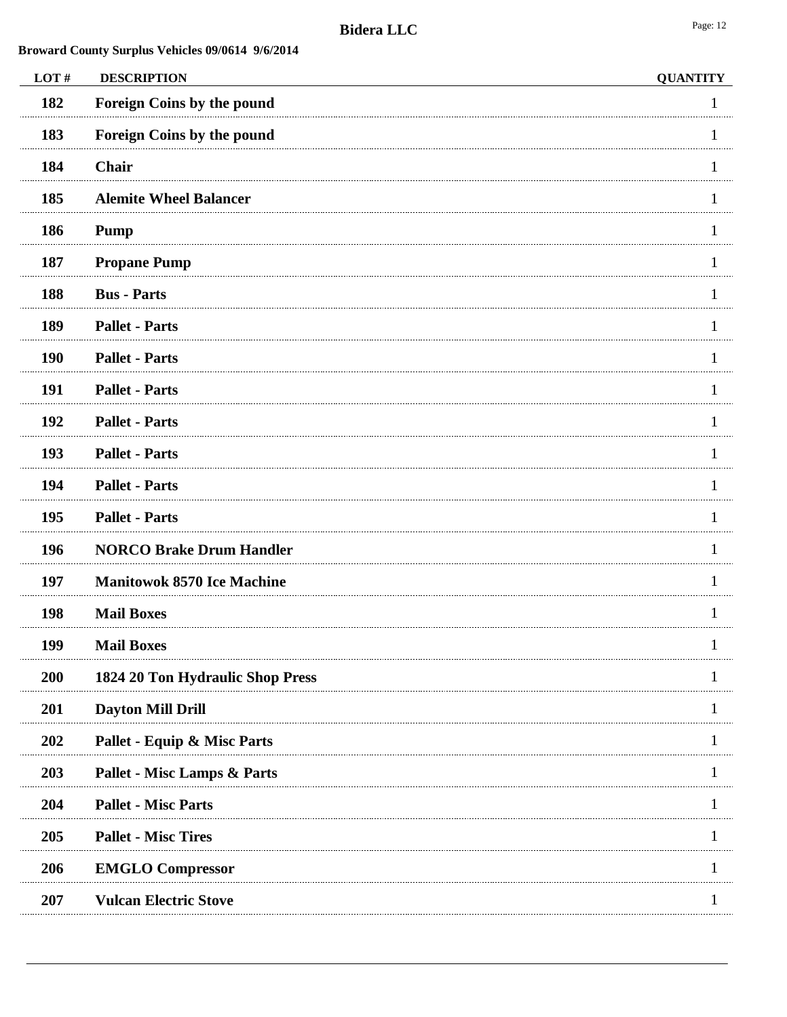| LOT#       | <b>DESCRIPTION</b>                     | <b>QUANTITY</b> |
|------------|----------------------------------------|-----------------|
| 182        | Foreign Coins by the pound             |                 |
| 183        | Foreign Coins by the pound             |                 |
| 184        | Chair                                  |                 |
| 185        | <b>Alemite Wheel Balancer</b>          |                 |
| 186        | <b>Pump</b>                            |                 |
| 187        | <b>Propane Pump</b>                    |                 |
| 188        | <b>Bus - Parts</b>                     |                 |
| 189        | <b>Pallet - Parts</b>                  |                 |
| 190        | <b>Pallet - Parts</b>                  |                 |
| 191        | <b>Pallet - Parts</b>                  |                 |
| 192        | <b>Pallet - Parts</b>                  |                 |
| 193        | <b>Pallet - Parts</b>                  |                 |
| 194        | <b>Pallet - Parts</b>                  |                 |
| 195        | <b>Pallet - Parts</b>                  |                 |
| 196        | <b>NORCO Brake Drum Handler</b>        |                 |
| 197        | <b>Manitowok 8570 Ice Machine</b>      |                 |
| 198        | <b>Mail Boxes</b>                      |                 |
| 199        | <b>Mail Boxes</b>                      |                 |
| 200        | 1824 20 Ton Hydraulic Shop Press       |                 |
| 201        | <b>Dayton Mill Drill</b>               |                 |
| 202        | Pallet - Equip & Misc Parts            |                 |
| 203        | <b>Pallet - Misc Lamps &amp; Parts</b> |                 |
| 204        | <b>Pallet - Misc Parts</b>             |                 |
| 205        | <b>Pallet - Misc Tires</b>             |                 |
| 206        | <b>EMGLO Compressor</b>                |                 |
| <b>207</b> | <b>Vulcan Electric Stove</b>           |                 |
|            |                                        |                 |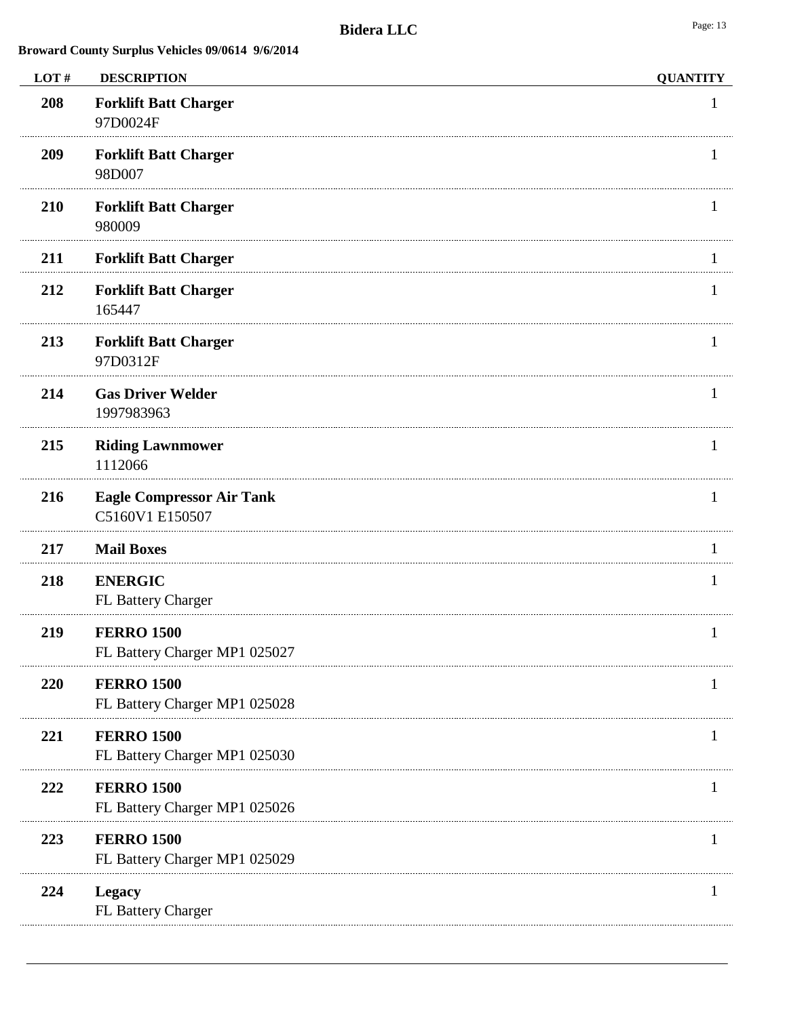| LOT# | <b>DESCRIPTION</b>                                  | <b>QUANTITY</b> |
|------|-----------------------------------------------------|-----------------|
| 208  | <b>Forklift Batt Charger</b><br>97D0024F            |                 |
| 209  | <b>Forklift Batt Charger</b><br>98D007              |                 |
| 210  | <b>Forklift Batt Charger</b><br>980009              |                 |
| 211  | <b>Forklift Batt Charger</b>                        |                 |
| 212  | <b>Forklift Batt Charger</b><br>165447              |                 |
| 213  | <b>Forklift Batt Charger</b><br>97D0312F            | -1              |
| 214  | <b>Gas Driver Welder</b><br>1997983963              |                 |
| 215  | <b>Riding Lawnmower</b><br>1112066                  | 1               |
| 216  | <b>Eagle Compressor Air Tank</b><br>C5160V1 E150507 |                 |
| 217  | <b>Mail Boxes</b>                                   |                 |
| 218  | <b>ENERGIC</b><br>FL Battery Charger                | 1               |
| 219  | <b>FERRO 1500</b><br>FL Battery Charger MP1 025027  |                 |
| 220  | <b>FERRO 1500</b><br>FL Battery Charger MP1 025028  |                 |
| 221  | <b>FERRO 1500</b><br>FL Battery Charger MP1 025030  |                 |
| 222  | <b>FERRO 1500</b><br>FL Battery Charger MP1 025026  |                 |
| 223  | <b>FERRO 1500</b><br>FL Battery Charger MP1 025029  | 1               |
| 224  | <b>Legacy</b><br>FL Battery Charger                 |                 |
|      |                                                     |                 |